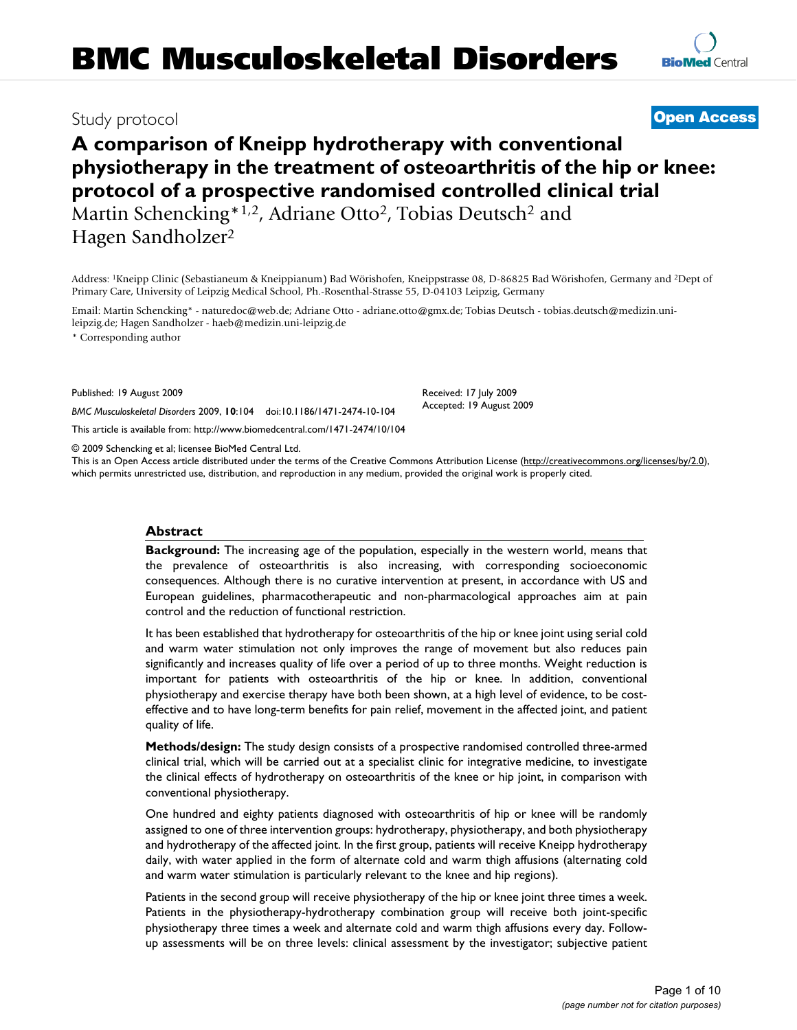# Study protocol **[Open Access](http://www.biomedcentral.com/info/about/charter/)**

# **A comparison of Kneipp hydrotherapy with conventional physiotherapy in the treatment of osteoarthritis of the hip or knee: protocol of a prospective randomised controlled clinical trial** Martin Schencking\*<sup>1,2</sup>, Adriane Otto<sup>2</sup>, Tobias Deutsch<sup>2</sup> and

Hagen Sandholzer2

Address: 1Kneipp Clinic (Sebastianeum & Kneippianum) Bad Wörishofen, Kneippstrasse 08, D-86825 Bad Wörishofen, Germany and 2Dept of Primary Care, University of Leipzig Medical School, Ph.-Rosenthal-Strasse 55, D-04103 Leipzig, Germany

Email: Martin Schencking\* - naturedoc@web.de; Adriane Otto - adriane.otto@gmx.de; Tobias Deutsch - tobias.deutsch@medizin.unileipzig.de; Hagen Sandholzer - haeb@medizin.uni-leipzig.de

\* Corresponding author

Published: 19 August 2009

*BMC Musculoskeletal Disorders* 2009, **10**:104 doi:10.1186/1471-2474-10-104

[This article is available from: http://www.biomedcentral.com/1471-2474/10/104](http://www.biomedcentral.com/1471-2474/10/104)

© 2009 Schencking et al; licensee BioMed Central Ltd.

This is an Open Access article distributed under the terms of the Creative Commons Attribution License [\(http://creativecommons.org/licenses/by/2.0\)](http://creativecommons.org/licenses/by/2.0), which permits unrestricted use, distribution, and reproduction in any medium, provided the original work is properly cited.

#### **Abstract**

**Background:** The increasing age of the population, especially in the western world, means that the prevalence of osteoarthritis is also increasing, with corresponding socioeconomic consequences. Although there is no curative intervention at present, in accordance with US and European guidelines, pharmacotherapeutic and non-pharmacological approaches aim at pain control and the reduction of functional restriction.

It has been established that hydrotherapy for osteoarthritis of the hip or knee joint using serial cold and warm water stimulation not only improves the range of movement but also reduces pain significantly and increases quality of life over a period of up to three months. Weight reduction is important for patients with osteoarthritis of the hip or knee. In addition, conventional physiotherapy and exercise therapy have both been shown, at a high level of evidence, to be costeffective and to have long-term benefits for pain relief, movement in the affected joint, and patient quality of life.

**Methods/design:** The study design consists of a prospective randomised controlled three-armed clinical trial, which will be carried out at a specialist clinic for integrative medicine, to investigate the clinical effects of hydrotherapy on osteoarthritis of the knee or hip joint, in comparison with conventional physiotherapy.

One hundred and eighty patients diagnosed with osteoarthritis of hip or knee will be randomly assigned to one of three intervention groups: hydrotherapy, physiotherapy, and both physiotherapy and hydrotherapy of the affected joint. In the first group, patients will receive Kneipp hydrotherapy daily, with water applied in the form of alternate cold and warm thigh affusions (alternating cold and warm water stimulation is particularly relevant to the knee and hip regions).

Patients in the second group will receive physiotherapy of the hip or knee joint three times a week. Patients in the physiotherapy-hydrotherapy combination group will receive both joint-specific physiotherapy three times a week and alternate cold and warm thigh affusions every day. Followup assessments will be on three levels: clinical assessment by the investigator; subjective patient



Received: 17 July 2009 Accepted: 19 August 2009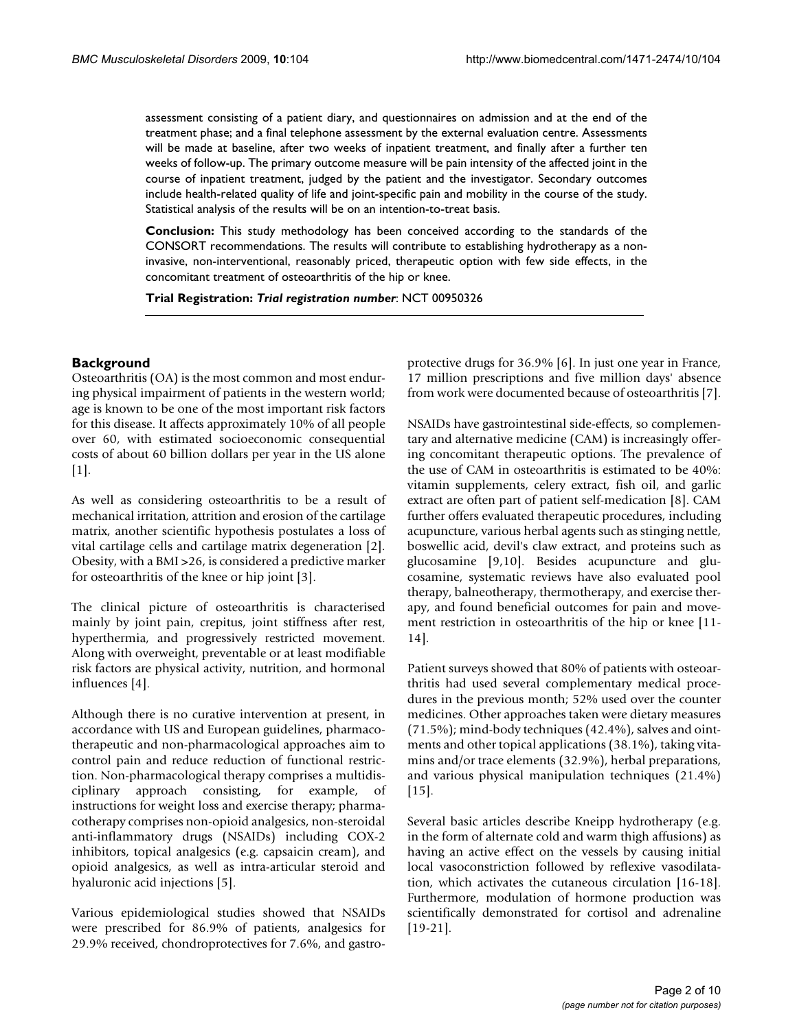assessment consisting of a patient diary, and questionnaires on admission and at the end of the treatment phase; and a final telephone assessment by the external evaluation centre. Assessments will be made at baseline, after two weeks of inpatient treatment, and finally after a further ten weeks of follow-up. The primary outcome measure will be pain intensity of the affected joint in the course of inpatient treatment, judged by the patient and the investigator. Secondary outcomes include health-related quality of life and joint-specific pain and mobility in the course of the study. Statistical analysis of the results will be on an intention-to-treat basis.

**Conclusion:** This study methodology has been conceived according to the standards of the CONSORT recommendations. The results will contribute to establishing hydrotherapy as a noninvasive, non-interventional, reasonably priced, therapeutic option with few side effects, in the concomitant treatment of osteoarthritis of the hip or knee.

**Trial Registration:** *Trial registration number*: NCT 00950326

#### **Background**

Osteoarthritis (OA) is the most common and most enduring physical impairment of patients in the western world; age is known to be one of the most important risk factors for this disease. It affects approximately 10% of all people over 60, with estimated socioeconomic consequential costs of about 60 billion dollars per year in the US alone  $[1]$ .

As well as considering osteoarthritis to be a result of mechanical irritation, attrition and erosion of the cartilage matrix, another scientific hypothesis postulates a loss of vital cartilage cells and cartilage matrix degeneration [2]. Obesity, with a BMI >26, is considered a predictive marker for osteoarthritis of the knee or hip joint [3].

The clinical picture of osteoarthritis is characterised mainly by joint pain, crepitus, joint stiffness after rest, hyperthermia, and progressively restricted movement. Along with overweight, preventable or at least modifiable risk factors are physical activity, nutrition, and hormonal influences [4].

Although there is no curative intervention at present, in accordance with US and European guidelines, pharmacotherapeutic and non-pharmacological approaches aim to control pain and reduce reduction of functional restriction. Non-pharmacological therapy comprises a multidisciplinary approach consisting, for example, of instructions for weight loss and exercise therapy; pharmacotherapy comprises non-opioid analgesics, non-steroidal anti-inflammatory drugs (NSAIDs) including COX-2 inhibitors, topical analgesics (e.g. capsaicin cream), and opioid analgesics, as well as intra-articular steroid and hyaluronic acid injections [5].

Various epidemiological studies showed that NSAIDs were prescribed for 86.9% of patients, analgesics for 29.9% received, chondroprotectives for 7.6%, and gastroprotective drugs for 36.9% [6]. In just one year in France, 17 million prescriptions and five million days' absence from work were documented because of osteoarthritis [7].

NSAIDs have gastrointestinal side-effects, so complementary and alternative medicine (CAM) is increasingly offering concomitant therapeutic options. The prevalence of the use of CAM in osteoarthritis is estimated to be 40%: vitamin supplements, celery extract, fish oil, and garlic extract are often part of patient self-medication [8]. CAM further offers evaluated therapeutic procedures, including acupuncture, various herbal agents such as stinging nettle, boswellic acid, devil's claw extract, and proteins such as glucosamine [9,10]. Besides acupuncture and glucosamine, systematic reviews have also evaluated pool therapy, balneotherapy, thermotherapy, and exercise therapy, and found beneficial outcomes for pain and movement restriction in osteoarthritis of the hip or knee [11- 14].

Patient surveys showed that 80% of patients with osteoarthritis had used several complementary medical procedures in the previous month; 52% used over the counter medicines. Other approaches taken were dietary measures (71.5%); mind-body techniques (42.4%), salves and ointments and other topical applications (38.1%), taking vitamins and/or trace elements (32.9%), herbal preparations, and various physical manipulation techniques (21.4%) [15].

Several basic articles describe Kneipp hydrotherapy (e.g. in the form of alternate cold and warm thigh affusions) as having an active effect on the vessels by causing initial local vasoconstriction followed by reflexive vasodilatation, which activates the cutaneous circulation [16-18]. Furthermore, modulation of hormone production was scientifically demonstrated for cortisol and adrenaline [19-21].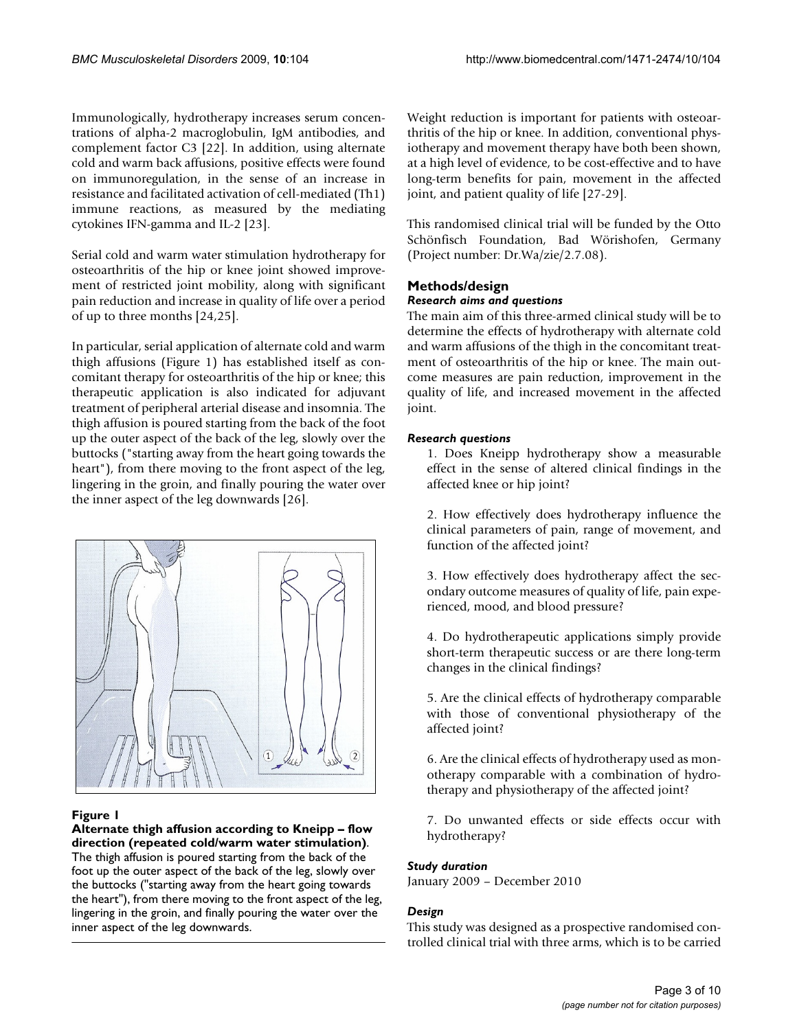Immunologically, hydrotherapy increases serum concentrations of alpha-2 macroglobulin, IgM antibodies, and complement factor C3 [22]. In addition, using alternate cold and warm back affusions, positive effects were found on immunoregulation, in the sense of an increase in resistance and facilitated activation of cell-mediated (Th1) immune reactions, as measured by the mediating cytokines IFN-gamma and IL-2 [23].

Serial cold and warm water stimulation hydrotherapy for osteoarthritis of the hip or knee joint showed improvement of restricted joint mobility, along with significant pain reduction and increase in quality of life over a period of up to three months [24,25].

In particular, serial application of alternate cold and warm thigh affusions (Figure 1) has established itself as concomitant therapy for osteoarthritis of the hip or knee; this therapeutic application is also indicated for adjuvant treatment of peripheral arterial disease and insomnia. The thigh affusion is poured starting from the back of the foot up the outer aspect of the back of the leg, slowly over the buttocks ("starting away from the heart going towards the heart"), from there moving to the front aspect of the leg, lingering in the groin, and finally pouring the water over the inner aspect of the leg downwards [26].



#### Figure 1

**Alternate thigh affusion according to Kneipp – flow direction (repeated cold/warm water stimulation)**. The thigh affusion is poured starting from the back of the foot up the outer aspect of the back of the leg, slowly over the buttocks ("starting away from the heart going towards the heart"), from there moving to the front aspect of the leg, lingering in the groin, and finally pouring the water over the inner aspect of the leg downwards.

Weight reduction is important for patients with osteoarthritis of the hip or knee. In addition, conventional physiotherapy and movement therapy have both been shown, at a high level of evidence, to be cost-effective and to have long-term benefits for pain, movement in the affected joint, and patient quality of life [27-29].

This randomised clinical trial will be funded by the Otto Schönfisch Foundation, Bad Wörishofen, Germany (Project number: Dr.Wa/zie/2.7.08).

# **Methods/design**

#### *Research aims and questions*

The main aim of this three-armed clinical study will be to determine the effects of hydrotherapy with alternate cold and warm affusions of the thigh in the concomitant treatment of osteoarthritis of the hip or knee. The main outcome measures are pain reduction, improvement in the quality of life, and increased movement in the affected joint.

# *Research questions*

1. Does Kneipp hydrotherapy show a measurable effect in the sense of altered clinical findings in the affected knee or hip joint?

2. How effectively does hydrotherapy influence the clinical parameters of pain, range of movement, and function of the affected joint?

3. How effectively does hydrotherapy affect the secondary outcome measures of quality of life, pain experienced, mood, and blood pressure?

4. Do hydrotherapeutic applications simply provide short-term therapeutic success or are there long-term changes in the clinical findings?

5. Are the clinical effects of hydrotherapy comparable with those of conventional physiotherapy of the affected joint?

6. Are the clinical effects of hydrotherapy used as monotherapy comparable with a combination of hydrotherapy and physiotherapy of the affected joint?

7. Do unwanted effects or side effects occur with hydrotherapy?

# *Study duration*

January 2009 – December 2010

# *Design*

This study was designed as a prospective randomised controlled clinical trial with three arms, which is to be carried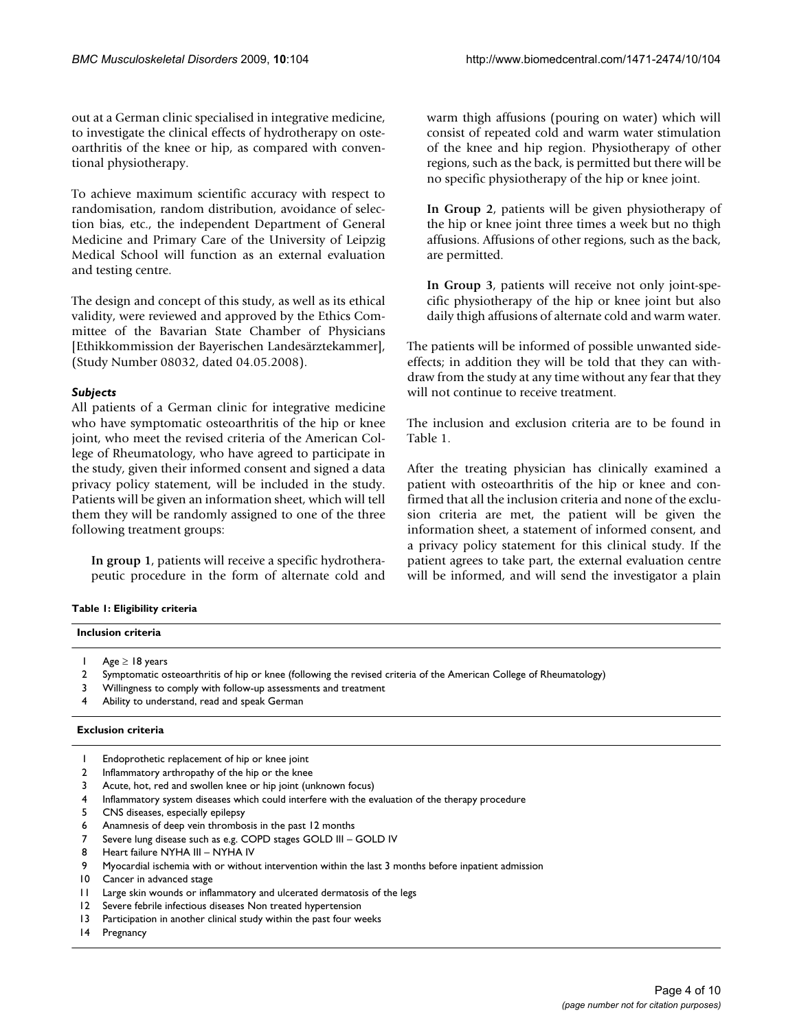out at a German clinic specialised in integrative medicine, to investigate the clinical effects of hydrotherapy on osteoarthritis of the knee or hip, as compared with conventional physiotherapy.

To achieve maximum scientific accuracy with respect to randomisation, random distribution, avoidance of selection bias, etc., the independent Department of General Medicine and Primary Care of the University of Leipzig Medical School will function as an external evaluation and testing centre.

The design and concept of this study, as well as its ethical validity, were reviewed and approved by the Ethics Committee of the Bavarian State Chamber of Physicians [Ethikkommission der Bayerischen Landesärztekammer], (Study Number 08032, dated 04.05.2008).

# *Subjects*

All patients of a German clinic for integrative medicine who have symptomatic osteoarthritis of the hip or knee joint, who meet the revised criteria of the American College of Rheumatology, who have agreed to participate in the study, given their informed consent and signed a data privacy policy statement, will be included in the study. Patients will be given an information sheet, which will tell them they will be randomly assigned to one of the three following treatment groups:

**In group 1**, patients will receive a specific hydrotherapeutic procedure in the form of alternate cold and warm thigh affusions (pouring on water) which will consist of repeated cold and warm water stimulation of the knee and hip region. Physiotherapy of other regions, such as the back, is permitted but there will be no specific physiotherapy of the hip or knee joint.

**In Group 2**, patients will be given physiotherapy of the hip or knee joint three times a week but no thigh affusions. Affusions of other regions, such as the back, are permitted.

**In Group 3**, patients will receive not only joint-specific physiotherapy of the hip or knee joint but also daily thigh affusions of alternate cold and warm water.

The patients will be informed of possible unwanted sideeffects; in addition they will be told that they can withdraw from the study at any time without any fear that they will not continue to receive treatment.

The inclusion and exclusion criteria are to be found in Table 1.

After the treating physician has clinically examined a patient with osteoarthritis of the hip or knee and confirmed that all the inclusion criteria and none of the exclusion criteria are met, the patient will be given the information sheet, a statement of informed consent, and a privacy policy statement for this clinical study. If the patient agrees to take part, the external evaluation centre will be informed, and will send the investigator a plain

#### **Table 1: Eligibility criteria**

| Inclusion criteria |  |  |
|--------------------|--|--|
|                    |  |  |

<sup>1</sup> Age ≥ 18 years

- 2 Symptomatic osteoarthritis of hip or knee (following the revised criteria of the American College of Rheumatology)
- 3 Willingness to comply with follow-up assessments and treatment
- 4 Ability to understand, read and speak German

#### **Exclusion criteria**

- 1 Endoprothetic replacement of hip or knee joint
- 2 Inflammatory arthropathy of the hip or the knee
- 3 Acute, hot, red and swollen knee or hip joint (unknown focus)
- 4 Inflammatory system diseases which could interfere with the evaluation of the therapy procedure
- 5 CNS diseases, especially epilepsy
- 6 Anamnesis of deep vein thrombosis in the past 12 months
- 7 Severe lung disease such as e.g. COPD stages GOLD III GOLD IV
- 8 Heart failure NYHA III NYHA IV
- 9 Myocardial ischemia with or without intervention within the last 3 months before inpatient admission
- 10 Cancer in advanced stage
- 11 Large skin wounds or inflammatory and ulcerated dermatosis of the legs
- 12 Severe febrile infectious diseases Non treated hypertension
- 13 Participation in another clinical study within the past four weeks
- 14 Pregnancy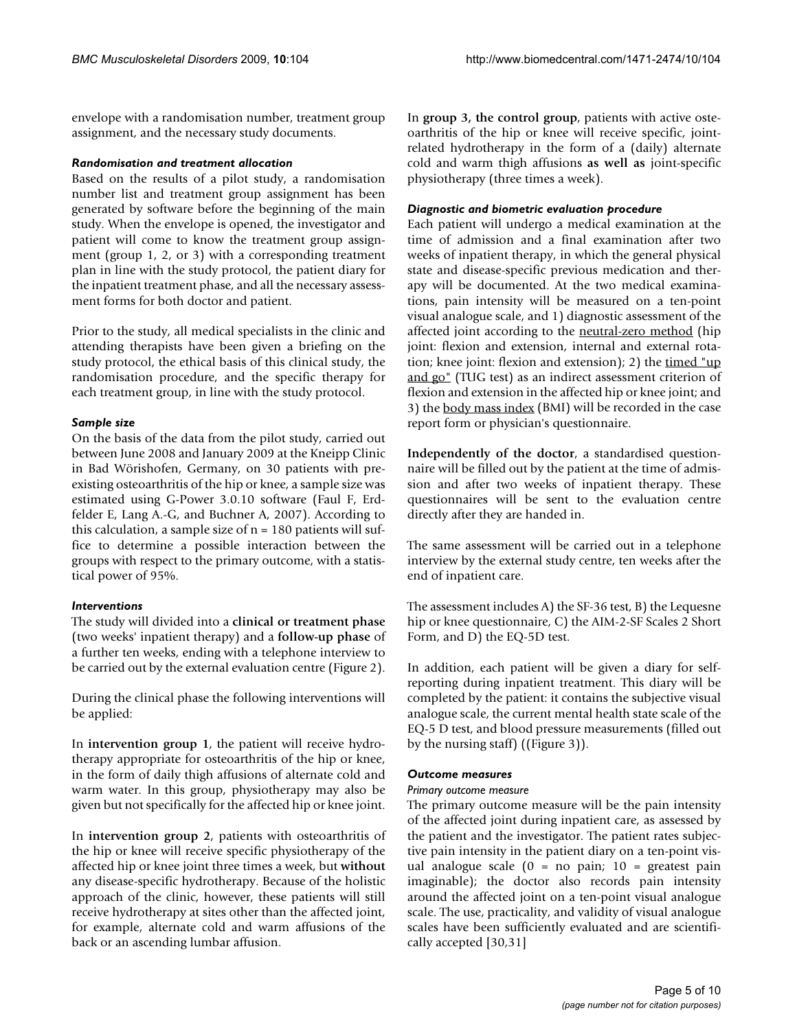envelope with a randomisation number, treatment group assignment, and the necessary study documents.

#### *Randomisation and treatment allocation*

Based on the results of a pilot study, a randomisation number list and treatment group assignment has been generated by software before the beginning of the main study. When the envelope is opened, the investigator and patient will come to know the treatment group assignment (group 1, 2, or 3) with a corresponding treatment plan in line with the study protocol, the patient diary for the inpatient treatment phase, and all the necessary assessment forms for both doctor and patient.

Prior to the study, all medical specialists in the clinic and attending therapists have been given a briefing on the study protocol, the ethical basis of this clinical study, the randomisation procedure, and the specific therapy for each treatment group, in line with the study protocol.

# *Sample size*

On the basis of the data from the pilot study, carried out between June 2008 and January 2009 at the Kneipp Clinic in Bad Wörishofen, Germany, on 30 patients with preexisting osteoarthritis of the hip or knee, a sample size was estimated using G-Power 3.0.10 software (Faul F, Erdfelder E, Lang A.-G, and Buchner A, 2007). According to this calculation, a sample size of  $n = 180$  patients will suffice to determine a possible interaction between the groups with respect to the primary outcome, with a statistical power of 95%.

# *Interventions*

The study will divided into a **clinical or treatment phase** (two weeks' inpatient therapy) and a **follow-up phase** of a further ten weeks, ending with a telephone interview to be carried out by the external evaluation centre (Figure 2).

During the clinical phase the following interventions will be applied:

In **intervention group 1**, the patient will receive hydrotherapy appropriate for osteoarthritis of the hip or knee, in the form of daily thigh affusions of alternate cold and warm water. In this group, physiotherapy may also be given but not specifically for the affected hip or knee joint.

In **intervention group 2**, patients with osteoarthritis of the hip or knee will receive specific physiotherapy of the affected hip or knee joint three times a week, but **without** any disease-specific hydrotherapy. Because of the holistic approach of the clinic, however, these patients will still receive hydrotherapy at sites other than the affected joint, for example, alternate cold and warm affusions of the back or an ascending lumbar affusion.

In **group 3, the control group**, patients with active osteoarthritis of the hip or knee will receive specific, jointrelated hydrotherapy in the form of a (daily) alternate cold and warm thigh affusions **as well as** joint-specific physiotherapy (three times a week).

# *Diagnostic and biometric evaluation procedure*

Each patient will undergo a medical examination at the time of admission and a final examination after two weeks of inpatient therapy, in which the general physical state and disease-specific previous medication and therapy will be documented. At the two medical examinations, pain intensity will be measured on a ten-point visual analogue scale, and 1) diagnostic assessment of the affected joint according to the neutral-zero method (hip joint: flexion and extension, internal and external rotation; knee joint: flexion and extension); 2) the timed "up and go" (TUG test) as an indirect assessment criterion of flexion and extension in the affected hip or knee joint; and 3) the body mass index (BMI) will be recorded in the case report form or physician's questionnaire.

**Independently of the doctor**, a standardised questionnaire will be filled out by the patient at the time of admission and after two weeks of inpatient therapy. These questionnaires will be sent to the evaluation centre directly after they are handed in.

The same assessment will be carried out in a telephone interview by the external study centre, ten weeks after the end of inpatient care.

The assessment includes A) the SF-36 test, B) the Lequesne hip or knee questionnaire, C) the AIM-2-SF Scales 2 Short Form, and D) the EQ-5D test.

In addition, each patient will be given a diary for selfreporting during inpatient treatment. This diary will be completed by the patient: it contains the subjective visual analogue scale, the current mental health state scale of the EQ-5 D test, and blood pressure measurements (filled out by the nursing staff) ((Figure 3)).

# *Outcome measures*

#### *Primary outcome measure*

The primary outcome measure will be the pain intensity of the affected joint during inpatient care, as assessed by the patient and the investigator. The patient rates subjective pain intensity in the patient diary on a ten-point visual analogue scale  $(0 = no pain; 10 = greatest pain)$ imaginable); the doctor also records pain intensity around the affected joint on a ten-point visual analogue scale. The use, practicality, and validity of visual analogue scales have been sufficiently evaluated and are scientifically accepted [30,31]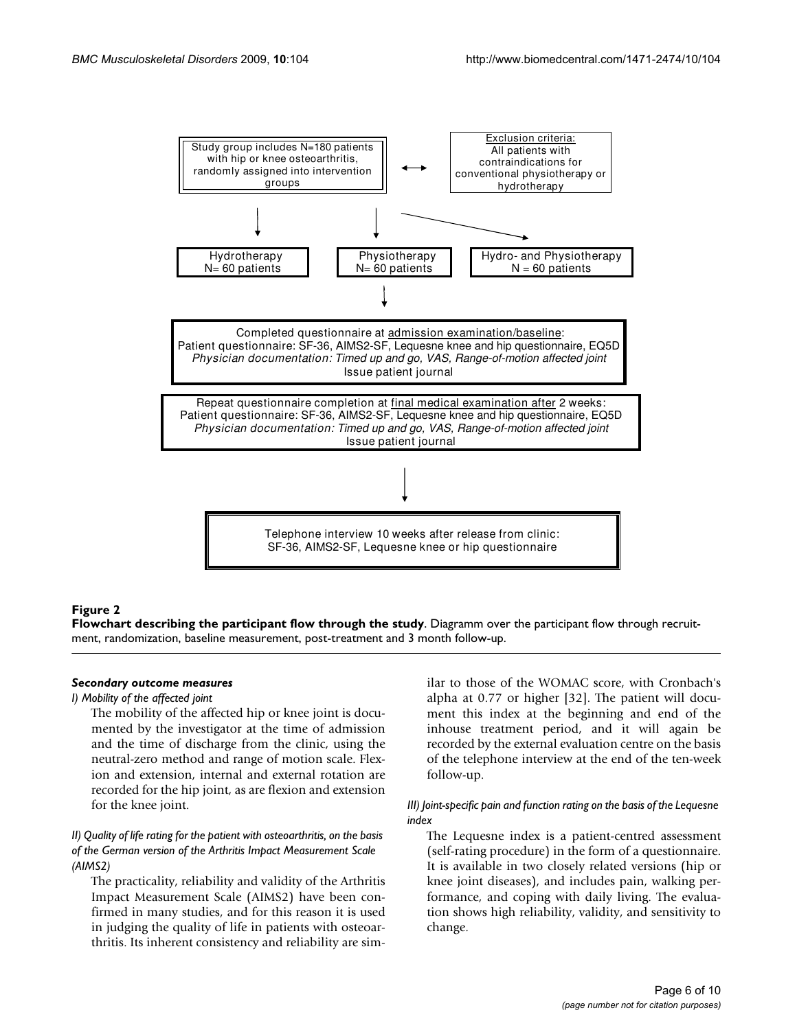

# Figure 2

**Flowchart describing the participant flow through the study**. Diagramm over the participant flow through recruitment, randomization, baseline measurement, post-treatment and 3 month follow-up.

#### *Secondary outcome measures*

#### *I) Mobility of the affected joint*

The mobility of the affected hip or knee joint is documented by the investigator at the time of admission and the time of discharge from the clinic, using the neutral-zero method and range of motion scale. Flexion and extension, internal and external rotation are recorded for the hip joint, as are flexion and extension for the knee joint.

# *II) Quality of life rating for the patient with osteoarthritis, on the basis of the German version of the Arthritis Impact Measurement Scale (AIMS2)*

The practicality, reliability and validity of the Arthritis Impact Measurement Scale (AIMS2) have been confirmed in many studies, and for this reason it is used in judging the quality of life in patients with osteoarthritis. Its inherent consistency and reliability are similar to those of the WOMAC score, with Cronbach's alpha at 0.77 or higher [32]. The patient will document this index at the beginning and end of the inhouse treatment period, and it will again be recorded by the external evaluation centre on the basis of the telephone interview at the end of the ten-week follow-up.

# *III) Joint-specific pain and function rating on the basis of the Lequesne index*

The Lequesne index is a patient-centred assessment (self-rating procedure) in the form of a questionnaire. It is available in two closely related versions (hip or knee joint diseases), and includes pain, walking performance, and coping with daily living. The evaluation shows high reliability, validity, and sensitivity to change.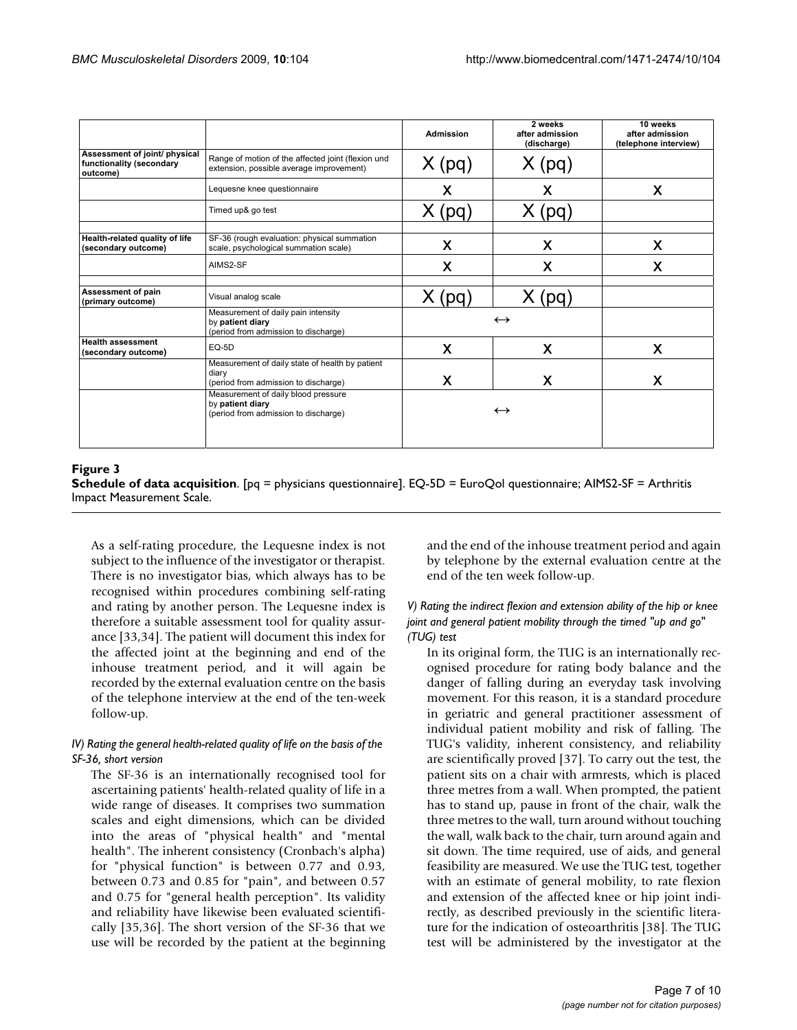|                                                                       |                                                                                                  | <b>Admission</b>  | 2 weeks<br>after admission<br>(discharge) | 10 weeks<br>after admission<br>(telephone interview) |
|-----------------------------------------------------------------------|--------------------------------------------------------------------------------------------------|-------------------|-------------------------------------------|------------------------------------------------------|
| Assessment of joint/ physical<br>functionality (secondary<br>outcome) | Range of motion of the affected joint (flexion und<br>extension, possible average improvement)   | $X$ (pq)          | $X$ (pq)                                  |                                                      |
|                                                                       | Lequesne knee questionnaire                                                                      | X                 | X                                         | X                                                    |
|                                                                       | Timed up& go test                                                                                | (pq)<br>X.        | [pg                                       |                                                      |
| Health-related quality of life<br>(secondary outcome)                 | SF-36 (rough evaluation: physical summation<br>scale, psychological summation scale)             | X                 | X                                         | X                                                    |
|                                                                       | AIMS2-SF                                                                                         | X                 | X                                         | Χ                                                    |
| Assessment of pain<br>(primary outcome)                               | Visual analog scale                                                                              | $X$ (pq)          | X(pq)                                     |                                                      |
|                                                                       | Measurement of daily pain intensity<br>by patient diary<br>(period from admission to discharge)  |                   | $\leftrightarrow$                         |                                                      |
| <b>Health assessment</b><br>(secondary outcome)                       | $EO-5D$                                                                                          | X                 | X                                         | X                                                    |
|                                                                       | Measurement of daily state of health by patient<br>diarv<br>(period from admission to discharge) | X                 | X                                         | X                                                    |
|                                                                       | Measurement of daily blood pressure<br>by patient diary<br>(period from admission to discharge)  | $\leftrightarrow$ |                                           |                                                      |

# **Figure 3**

**Schedule of data acquisition**. [pq = physicians questionnaire]. EQ-5D = EuroQol questionnaire; AIMS2-SF = Arthritis Impact Measurement Scale.

As a self-rating procedure, the Lequesne index is not subject to the influence of the investigator or therapist. There is no investigator bias, which always has to be recognised within procedures combining self-rating and rating by another person. The Lequesne index is therefore a suitable assessment tool for quality assurance [33,34]. The patient will document this index for the affected joint at the beginning and end of the inhouse treatment period, and it will again be recorded by the external evaluation centre on the basis of the telephone interview at the end of the ten-week follow-up.

# *IV)* Rating the general health-related quality of life on the basis of the *SF-36, short version*

The SF-36 is an internationally recognised tool for ascertaining patients' health-related quality of life in a wide range of diseases. It comprises two summation scales and eight dimensions, which can be divided into the areas of "physical health" and "mental health". The inherent consistency (Cronbach's alpha) for "physical function" is between 0.77 and 0.93, between 0.73 and 0.85 for "pain", and between 0.57 and 0.75 for "general health perception". Its validity and reliability have likewise been evaluated scientifically [35,36]. The short version of the SF-36 that we use will be recorded by the patient at the beginning

and the end of the inhouse treatment period and again by telephone by the external evaluation centre at the end of the ten week follow-up.

# *V) Rating the indirect flexion and extension ability of the hip or knee joint and general patient mobility through the timed "up and go" (TUG) test*

In its original form, the TUG is an internationally recognised procedure for rating body balance and the danger of falling during an everyday task involving movement. For this reason, it is a standard procedure in geriatric and general practitioner assessment of individual patient mobility and risk of falling. The TUG's validity, inherent consistency, and reliability are scientifically proved [37]. To carry out the test, the patient sits on a chair with armrests, which is placed three metres from a wall. When prompted, the patient has to stand up, pause in front of the chair, walk the three metres to the wall, turn around without touching the wall, walk back to the chair, turn around again and sit down. The time required, use of aids, and general feasibility are measured. We use the TUG test, together with an estimate of general mobility, to rate flexion and extension of the affected knee or hip joint indirectly, as described previously in the scientific literature for the indication of osteoarthritis [38]. The TUG test will be administered by the investigator at the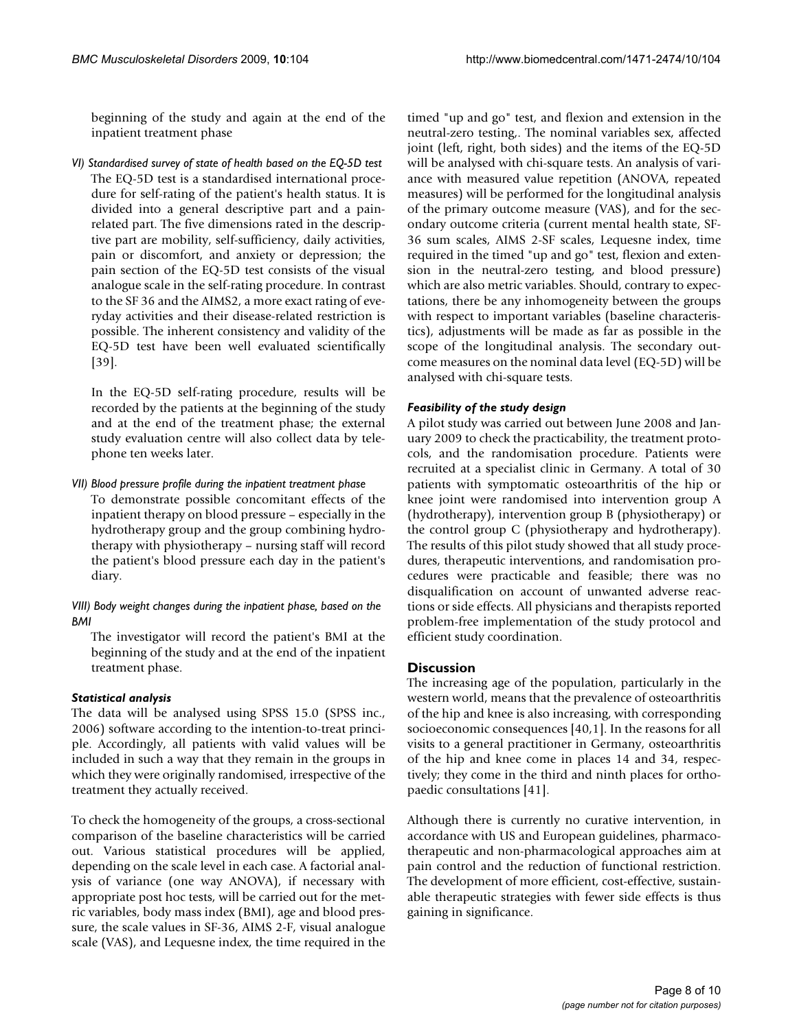beginning of the study and again at the end of the inpatient treatment phase

*VI) Standardised survey of state of health based on the EQ-5D test* The EQ-5D test is a standardised international procedure for self-rating of the patient's health status. It is divided into a general descriptive part and a painrelated part. The five dimensions rated in the descriptive part are mobility, self-sufficiency, daily activities, pain or discomfort, and anxiety or depression; the pain section of the EQ-5D test consists of the visual analogue scale in the self-rating procedure. In contrast to the SF 36 and the AIMS2, a more exact rating of everyday activities and their disease-related restriction is possible. The inherent consistency and validity of the EQ-5D test have been well evaluated scientifically [39].

In the EQ-5D self-rating procedure, results will be recorded by the patients at the beginning of the study and at the end of the treatment phase; the external study evaluation centre will also collect data by telephone ten weeks later.

*VII) Blood pressure profile during the inpatient treatment phase*

To demonstrate possible concomitant effects of the inpatient therapy on blood pressure – especially in the hydrotherapy group and the group combining hydrotherapy with physiotherapy – nursing staff will record the patient's blood pressure each day in the patient's diary.

### *VIII) Body weight changes during the inpatient phase, based on the BMI*

The investigator will record the patient's BMI at the beginning of the study and at the end of the inpatient treatment phase.

#### *Statistical analysis*

The data will be analysed using SPSS 15.0 (SPSS inc., 2006) software according to the intention-to-treat principle. Accordingly, all patients with valid values will be included in such a way that they remain in the groups in which they were originally randomised, irrespective of the treatment they actually received.

To check the homogeneity of the groups, a cross-sectional comparison of the baseline characteristics will be carried out. Various statistical procedures will be applied, depending on the scale level in each case. A factorial analysis of variance (one way ANOVA), if necessary with appropriate post hoc tests, will be carried out for the metric variables, body mass index (BMI), age and blood pressure, the scale values in SF-36, AIMS 2-F, visual analogue scale (VAS), and Lequesne index, the time required in the timed "up and go" test, and flexion and extension in the neutral-zero testing,. The nominal variables sex, affected joint (left, right, both sides) and the items of the EQ-5D will be analysed with chi-square tests. An analysis of variance with measured value repetition (ANOVA, repeated measures) will be performed for the longitudinal analysis of the primary outcome measure (VAS), and for the secondary outcome criteria (current mental health state, SF-36 sum scales, AIMS 2-SF scales, Lequesne index, time required in the timed "up and go" test, flexion and extension in the neutral-zero testing, and blood pressure) which are also metric variables. Should, contrary to expectations, there be any inhomogeneity between the groups with respect to important variables (baseline characteristics), adjustments will be made as far as possible in the scope of the longitudinal analysis. The secondary outcome measures on the nominal data level (EQ-5D) will be analysed with chi-square tests.

# *Feasibility of the study design*

A pilot study was carried out between June 2008 and January 2009 to check the practicability, the treatment protocols, and the randomisation procedure. Patients were recruited at a specialist clinic in Germany. A total of 30 patients with symptomatic osteoarthritis of the hip or knee joint were randomised into intervention group A (hydrotherapy), intervention group B (physiotherapy) or the control group C (physiotherapy and hydrotherapy). The results of this pilot study showed that all study procedures, therapeutic interventions, and randomisation procedures were practicable and feasible; there was no disqualification on account of unwanted adverse reactions or side effects. All physicians and therapists reported problem-free implementation of the study protocol and efficient study coordination.

# **Discussion**

The increasing age of the population, particularly in the western world, means that the prevalence of osteoarthritis of the hip and knee is also increasing, with corresponding socioeconomic consequences [40,1]. In the reasons for all visits to a general practitioner in Germany, osteoarthritis of the hip and knee come in places 14 and 34, respectively; they come in the third and ninth places for orthopaedic consultations [41].

Although there is currently no curative intervention, in accordance with US and European guidelines, pharmacotherapeutic and non-pharmacological approaches aim at pain control and the reduction of functional restriction. The development of more efficient, cost-effective, sustainable therapeutic strategies with fewer side effects is thus gaining in significance.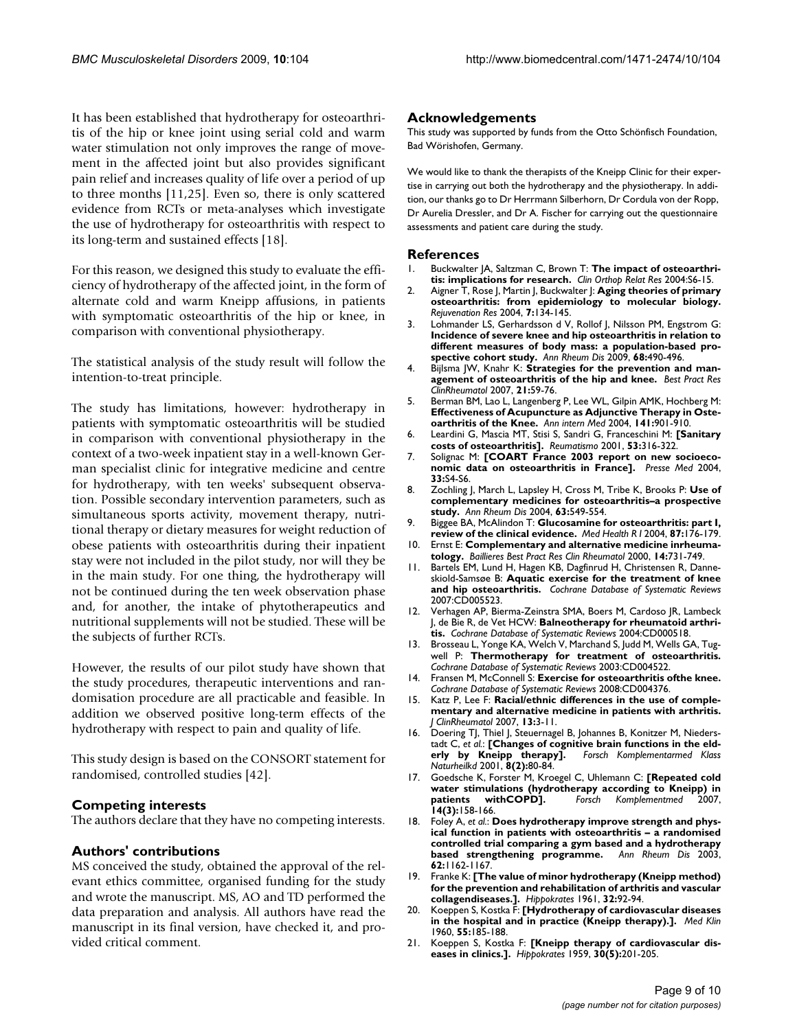It has been established that hydrotherapy for osteoarthritis of the hip or knee joint using serial cold and warm water stimulation not only improves the range of movement in the affected joint but also provides significant pain relief and increases quality of life over a period of up to three months [11,25]. Even so, there is only scattered evidence from RCTs or meta-analyses which investigate the use of hydrotherapy for osteoarthritis with respect to its long-term and sustained effects [18].

For this reason, we designed this study to evaluate the efficiency of hydrotherapy of the affected joint, in the form of alternate cold and warm Kneipp affusions, in patients with symptomatic osteoarthritis of the hip or knee, in comparison with conventional physiotherapy.

The statistical analysis of the study result will follow the intention-to-treat principle.

The study has limitations, however: hydrotherapy in patients with symptomatic osteoarthritis will be studied in comparison with conventional physiotherapy in the context of a two-week inpatient stay in a well-known German specialist clinic for integrative medicine and centre for hydrotherapy, with ten weeks' subsequent observation. Possible secondary intervention parameters, such as simultaneous sports activity, movement therapy, nutritional therapy or dietary measures for weight reduction of obese patients with osteoarthritis during their inpatient stay were not included in the pilot study, nor will they be in the main study. For one thing, the hydrotherapy will not be continued during the ten week observation phase and, for another, the intake of phytotherapeutics and nutritional supplements will not be studied. These will be the subjects of further RCTs.

However, the results of our pilot study have shown that the study procedures, therapeutic interventions and randomisation procedure are all practicable and feasible. In addition we observed positive long-term effects of the hydrotherapy with respect to pain and quality of life.

This study design is based on the CONSORT statement for randomised, controlled studies [42].

#### **Competing interests**

The authors declare that they have no competing interests.

#### **Authors' contributions**

MS conceived the study, obtained the approval of the relevant ethics committee, organised funding for the study and wrote the manuscript. MS, AO and TD performed the data preparation and analysis. All authors have read the manuscript in its final version, have checked it, and provided critical comment.

#### **Acknowledgements**

This study was supported by funds from the Otto Schönfisch Foundation, Bad Wörishofen, Germany.

We would like to thank the therapists of the Kneipp Clinic for their expertise in carrying out both the hydrotherapy and the physiotherapy. In addition, our thanks go to Dr Herrmann Silberhorn, Dr Cordula von der Ropp, Dr Aurelia Dressler, and Dr A. Fischer for carrying out the questionnaire assessments and patient care during the study.

#### **References**

- 1. Buckwalter JA, Saltzman C, Brown T: **[The impact of osteoarthri](http://www.ncbi.nlm.nih.gov/entrez/query.fcgi?cmd=Retrieve&db=PubMed&dopt=Abstract&list_uids=15480076)[tis: implications for research.](http://www.ncbi.nlm.nih.gov/entrez/query.fcgi?cmd=Retrieve&db=PubMed&dopt=Abstract&list_uids=15480076)** *Clin Orthop Relat Res* 2004:S6-15.
- 2. Aigner T, Rose J, Martin J, Buckwalter J: **[Aging theories of primary](http://www.ncbi.nlm.nih.gov/entrez/query.fcgi?cmd=Retrieve&db=PubMed&dopt=Abstract&list_uids=15312300) [osteoarthritis: from epidemiology to molecular biology.](http://www.ncbi.nlm.nih.gov/entrez/query.fcgi?cmd=Retrieve&db=PubMed&dopt=Abstract&list_uids=15312300)** *Rejuvenation Res* 2004, **7:**134-145.
- 3. Lohmander LS, Gerhardsson d V, Rollof J, Nilsson PM, Engstrom G: **[Incidence of severe knee and hip osteoarthritis in relation to](http://www.ncbi.nlm.nih.gov/entrez/query.fcgi?cmd=Retrieve&db=PubMed&dopt=Abstract&list_uids=18467514) different measures of body mass: a population-based pro[spective cohort study.](http://www.ncbi.nlm.nih.gov/entrez/query.fcgi?cmd=Retrieve&db=PubMed&dopt=Abstract&list_uids=18467514)** *Ann Rheum Dis* 2009, **68:**490-496.
- 4. Bijlsma JW, Knahr K: **Strategies for the prevention and management of osteoarthritis of the hip and knee.** *Best Pract Res ClinRheumatol* 2007, **21:**59-76.
- 5. Berman BM, Lao L, Langenberg P, Lee WL, Gilpin AMK, Hochberg M: **[Effectiveness of Acupuncture as Adjunctive Therapy in Oste](http://www.ncbi.nlm.nih.gov/entrez/query.fcgi?cmd=Retrieve&db=PubMed&dopt=Abstract&list_uids=15611487)[oarthritis of the Knee.](http://www.ncbi.nlm.nih.gov/entrez/query.fcgi?cmd=Retrieve&db=PubMed&dopt=Abstract&list_uids=15611487)** *Ann intern Med* 2004, **141:**901-910.
- 6. Leardini G, Mascia MT, Stisi S, Sandri G, Franceschini M: **[\[Sanitary](http://www.ncbi.nlm.nih.gov/entrez/query.fcgi?cmd=Retrieve&db=PubMed&dopt=Abstract&list_uids=12089627) [costs of osteoarthritis\].](http://www.ncbi.nlm.nih.gov/entrez/query.fcgi?cmd=Retrieve&db=PubMed&dopt=Abstract&list_uids=12089627)** *Reumatismo* 2001, **53:**316-322.
- 7. Solignac M: **[\[COART France 2003 report on new socioeco](http://www.ncbi.nlm.nih.gov/entrez/query.fcgi?cmd=Retrieve&db=PubMed&dopt=Abstract&list_uids=15226681)[nomic data on osteoarthritis in France\].](http://www.ncbi.nlm.nih.gov/entrez/query.fcgi?cmd=Retrieve&db=PubMed&dopt=Abstract&list_uids=15226681)** *Presse Med* 2004, **33:**S4-S6.
- 8. Zochling J, March L, Lapsley H, Cross M, Tribe K, Brooks P: [Use of](http://www.ncbi.nlm.nih.gov/entrez/query.fcgi?cmd=Retrieve&db=PubMed&dopt=Abstract&list_uids=15082486) **[complementary medicines for osteoarthritis–a prospective](http://www.ncbi.nlm.nih.gov/entrez/query.fcgi?cmd=Retrieve&db=PubMed&dopt=Abstract&list_uids=15082486) [study.](http://www.ncbi.nlm.nih.gov/entrez/query.fcgi?cmd=Retrieve&db=PubMed&dopt=Abstract&list_uids=15082486)** *Ann Rheum Dis* 2004, **63:**549-554.
- 9. Biggee BA, McAlindon T: **[Glucosamine for osteoarthritis: part I,](http://www.ncbi.nlm.nih.gov/entrez/query.fcgi?cmd=Retrieve&db=PubMed&dopt=Abstract&list_uids=15344672) [review of the clinical evidence.](http://www.ncbi.nlm.nih.gov/entrez/query.fcgi?cmd=Retrieve&db=PubMed&dopt=Abstract&list_uids=15344672)** *Med Health R I* 2004, **87:**176-179.
- 10. Ernst E: **[Complementary and alternative medicine inrheuma](http://www.ncbi.nlm.nih.gov/entrez/query.fcgi?cmd=Retrieve&db=PubMed&dopt=Abstract&list_uids=11092799)[tology.](http://www.ncbi.nlm.nih.gov/entrez/query.fcgi?cmd=Retrieve&db=PubMed&dopt=Abstract&list_uids=11092799)** *Baillieres Best Pract Res Clin Rheumatol* 2000, **14:**731-749.
- 11. Bartels EM, Lund H, Hagen KB, Dagfinrud H, Christensen R, Danneskiold-Samsøe B: **Aquatic exercise for the treatment of knee and hip osteoarthritis.** *Cochrane Database of Systematic Reviews* 2007:CD005523.
- 12. Verhagen AP, Bierma-Zeinstra SMA, Boers M, Cardoso JR, Lambeck J, de Bie R, de Vet HCW: **Balneotherapy for rheumatoid arthritis.** *Cochrane Database of Systematic Reviews* 2004:CD000518.
- 13. Brosseau L, Yonge KA, Welch V, Marchand S, Judd M, Wells GA, Tugwell P: **Thermotherapy for treatment of osteoarthritis.** *Cochrane Database of Systematic Reviews* 2003:CD004522.
- 14. Fransen M, McConnell S: **Exercise for osteoarthritis ofthe knee.** *Cochrane Database of Systematic Reviews* 2008:CD004376.
- 15. Katz P, Lee F: **Racial/ethnic differences in the use of complementary and alternative medicine in patients with arthritis.** *J ClinRheumatol* 2007, **13:**3-11.
- 16. Doering TJ, Thiel J, Steuernagel B, Johannes B, Konitzer M, Niederstadt C, *et al.*: **[\[Changes of cognitive brain functions in the eld](http://www.ncbi.nlm.nih.gov/entrez/query.fcgi?cmd=Retrieve&db=PubMed&dopt=Abstract&list_uids=11340314)[erly by Kneipp therapy\].](http://www.ncbi.nlm.nih.gov/entrez/query.fcgi?cmd=Retrieve&db=PubMed&dopt=Abstract&list_uids=11340314)** *Forsch Komplementarmed Klass Naturheilkd* 2001, **8(2):**80-84.
- 17. Goedsche K, Forster M, Kroegel C, Uhlemann C: **[\[Repeated cold](http://www.ncbi.nlm.nih.gov/entrez/query.fcgi?cmd=Retrieve&db=PubMed&dopt=Abstract&list_uids=17596696) [water stimulations \(hydrotherapy according to Kneipp\) in](http://www.ncbi.nlm.nih.gov/entrez/query.fcgi?cmd=Retrieve&db=PubMed&dopt=Abstract&list_uids=17596696)**  $Forsch$  Komplementmed **14(3):**158-166.
- 18. Foley A, *et al.*: **[Does hydrotherapy improve strength and phys](http://www.ncbi.nlm.nih.gov/entrez/query.fcgi?cmd=Retrieve&db=PubMed&dopt=Abstract&list_uids=14644853)[ical function in patients with osteoarthritis – a randomised](http://www.ncbi.nlm.nih.gov/entrez/query.fcgi?cmd=Retrieve&db=PubMed&dopt=Abstract&list_uids=14644853) controlled trial comparing a gym based and a hydrotherapy [based strengthening programme.](http://www.ncbi.nlm.nih.gov/entrez/query.fcgi?cmd=Retrieve&db=PubMed&dopt=Abstract&list_uids=14644853)** *Ann Rheum Dis* 2003, **62:**1162-1167.
- 19. Franke K: **[\[The value of minor hydrotherapy \(Kneipp method\)](http://www.ncbi.nlm.nih.gov/entrez/query.fcgi?cmd=Retrieve&db=PubMed&dopt=Abstract&list_uids=13701390) [for the prevention and rehabilitation of arthritis and vascular](http://www.ncbi.nlm.nih.gov/entrez/query.fcgi?cmd=Retrieve&db=PubMed&dopt=Abstract&list_uids=13701390) [collagendiseases.\].](http://www.ncbi.nlm.nih.gov/entrez/query.fcgi?cmd=Retrieve&db=PubMed&dopt=Abstract&list_uids=13701390)** *Hippokrates* 1961, **32:**92-94.
- 20. Koeppen S, Kostka F: **[\[Hydrotherapy of cardiovascular diseases](http://www.ncbi.nlm.nih.gov/entrez/query.fcgi?cmd=Retrieve&db=PubMed&dopt=Abstract&list_uids=14410463) [in the hospital and in practice \(Kneipp therapy\).\].](http://www.ncbi.nlm.nih.gov/entrez/query.fcgi?cmd=Retrieve&db=PubMed&dopt=Abstract&list_uids=14410463)** *Med Klin* 1960, **55:**185-188.
- 21. Koeppen S, Kostka F: **[\[Kneipp therapy of cardiovascular dis](http://www.ncbi.nlm.nih.gov/entrez/query.fcgi?cmd=Retrieve&db=PubMed&dopt=Abstract&list_uids=13640494)[eases in clinics.\].](http://www.ncbi.nlm.nih.gov/entrez/query.fcgi?cmd=Retrieve&db=PubMed&dopt=Abstract&list_uids=13640494)** *Hippokrates* 1959, **30(5):**201-205.